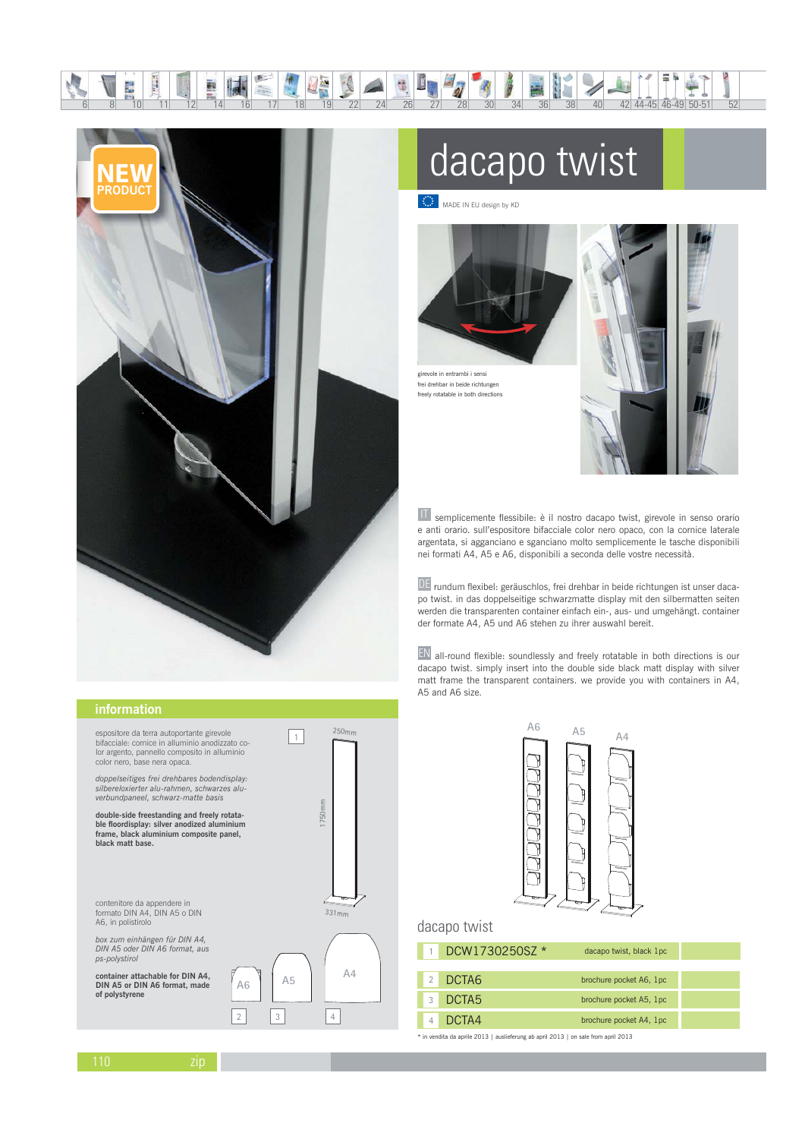

顧

 $\frac{\partial^2 f}{\partial x^2} = \frac{\partial^2 f}{\partial x^2}$ 

∕×<br>¶

## dacapo twist

7  $\frac{1}{40}$ 

MADE IN EU design by KD

b



frei drehbar in beide richtunge freely rotatable in both directions



42 44-45 46-49 50-51

II semplicemente flessibile: è il nostro dacapo twist, girevole in senso orario e anti orario. sull'espositore bifacciale color nero opaco, con la cornice laterale argentata, si agganciano e sganciano molto semplicemente le tasche disponibili nei formati A4, A5 e A6, disponibili a seconda delle vostre necessità.

DE rundum flexibel: geräuschlos, frei drehbar in beide richtungen ist unser dacapo twist. in das doppelseitige schwarzmatte display mit den silbermatten seiten werden die transparenten container einfach ein-, aus- und umgehängt. container der formate A4, A5 und A6 stehen zu ihrer auswahl bereit.

 $EN$  all-round flexible: soundlessly and freely rotatable in both directions is our dacapo twist. simply insert into the double side black matt display with silver matt frame the transparent containers, we provide you with containers in A4, A5 and A6 size.



## dacapo twist

| DCW1730250SZ * | dacapo twist, black 1pc |  |
|----------------|-------------------------|--|
|                |                         |  |
| 2 DCTA6        | brochure pocket A6, 1pc |  |
| DCTA5          | brochure pocket A5, 1pc |  |
| DCTA4          | brochure pocket A4, 1pc |  |

\* in vendita da aprile 2013 | auslieferung ab april 2013 | on sale from april 2013

## information

espositore da terra autoportante girevole bifacciale: cornice in alluminio anodizzato co-<br>lor argento, pannello composito in alluminio color nero, base nera opaca

doppelseitiges frei drehbares bodendisplay. silbereloxierter alu-rahmen. schwarzes alu verbundpaneel, schwarz-matte basis

double-side freestanding and freely rotata-<br>ble floordisplay: silver anodized aluminium<br>frame, black aluminium composite panel, black matt base.

contenitore da appendere in<br>formato DIN A4, DIN A5 o DIN A6, in polistirolo

box zum einhängen für DIN A4,<br>DIN A5 oder DIN A6 format, aus ps-polystirol

container attachable for DIN A4,<br>DIN A5 or DIN A6 format, made of polystyrene



 $AG$ 

 $\overline{2}$